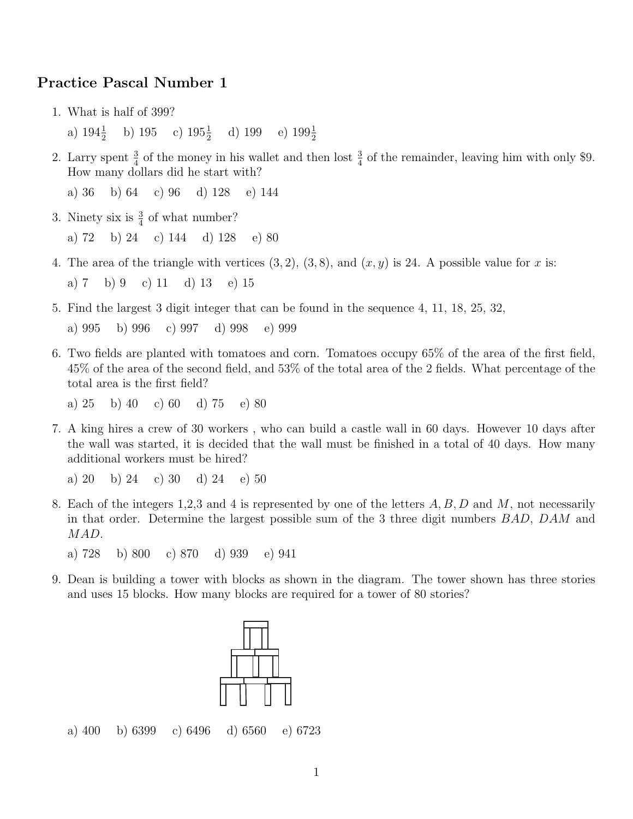## Practice Pascal Number 1

1. What is half of 399?

a)  $194\frac{1}{2}$  b)  $195$  c)  $195\frac{1}{2}$  d)  $199$  e)  $199\frac{1}{2}$ 

2. Larry spent  $\frac{3}{4}$  of the money in his wallet and then lost  $\frac{3}{4}$  of the remainder, leaving him with only \$9. How many dollars did he start with?

a) 36 b) 64 c) 96 d) 128 e) 144

- 3. Ninety six is  $\frac{3}{4}$  of what number? a) 72 b) 24 c) 144 d) 128 e) 80
- 4. The area of the triangle with vertices  $(3, 2)$ ,  $(3, 8)$ , and  $(x, y)$  is 24. A possible value for x is: a) 7 b) 9 c) 11 d) 13 e) 15
- 5. Find the largest 3 digit integer that can be found in the sequence 4, 11, 18, 25, 32, a) 995 b) 996 c) 997 d) 998 e) 999
- 6. Two fields are planted with tomatoes and corn. Tomatoes occupy 65% of the area of the first field, 45% of the area of the second field, and 53% of the total area of the 2 fields. What percentage of the total area is the first field?

a) 25 b) 40 c) 60 d) 75 e) 80

7. A king hires a crew of 30 workers , who can build a castle wall in 60 days. However 10 days after the wall was started, it is decided that the wall must be finished in a total of 40 days. How many additional workers must be hired?

a) 20 b) 24 c) 30 d) 24 e) 50

8. Each of the integers 1,2,3 and 4 is represented by one of the letters  $A, B, D$  and  $M$ , not necessarily in that order. Determine the largest possible sum of the 3 three digit numbers BAD, DAM and MAD.

a) 728 b) 800 c) 870 d) 939 e) 941

9. Dean is building a tower with blocks as shown in the diagram. The tower shown has three stories and uses 15 blocks. How many blocks are required for a tower of 80 stories?